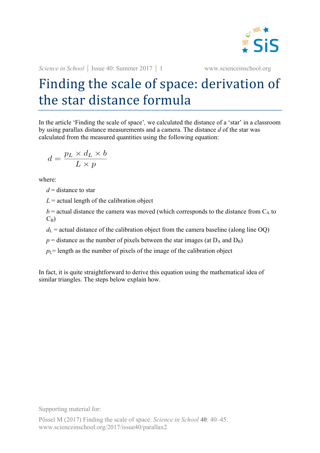

*Science in School* | Issue 40: Summer 2017 | 1 www.scienceinschool.org

## Finding the scale of space: derivation of the star distance formula

In the article 'Finding the scale of space'*,* we calculated the distance of a 'star' in a classroom by using parallax distance measurements and a camera. The distance *d* of the star was calculated from the measured quantities using the following equation:

$$
d = \frac{p_L \times d_L \times b}{L \times p}
$$

where:

*d* = distance to star

 $L =$  actual length of the calibration object

 $b$  = actual distance the camera was moved (which corresponds to the distance from  $C_A$  to  $C_B$ )

 $d_{\rm L}$  = actual distance of the calibration object from the camera baseline (along line OQ)

 $p =$  distance as the number of pixels between the star images (at  $D_A$  and  $D_B$ )

 $p_l$ = length as the number of pixels of the image of the calibration object

In fact, it is quite straightforward to derive this equation using the mathematical idea of similar triangles. The steps below explain how.

Supporting material for: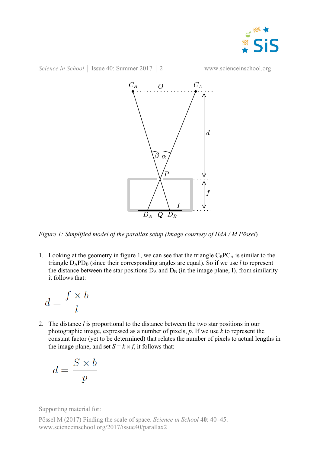

*Science in School* | Issue 40: Summer 2017 | 2 www.scienceinschool.org



*Figure 1: Simplified model of the parallax setup (Image courtesy of HdA / M Pössel*)

1. Looking at the geometry in figure 1, we can see that the triangle  $C_BPC_A$  is similar to the triangle  $D_APD_B$  (since their corresponding angles are equal). So if we use *l* to represent the distance between the star positions  $D_A$  and  $D_B$  (in the image plane, I), from similarity it follows that:

$$
d = \frac{f \times b}{l}
$$

2. The distance *l* is proportional to the distance between the two star positions in our photographic image, expressed as a number of pixels, *p*. If we use *k* to represent the constant factor (yet to be determined) that relates the number of pixels to actual lengths in the image plane, and set  $S = k \times f$ , it follows that:

$$
d = \frac{S \times b}{p}
$$

Supporting material for:

Pössel M (2017) Finding the scale of space. *Science in School* **40**: 40–45. www.scienceinschool.org/2017/issue40/parallax2